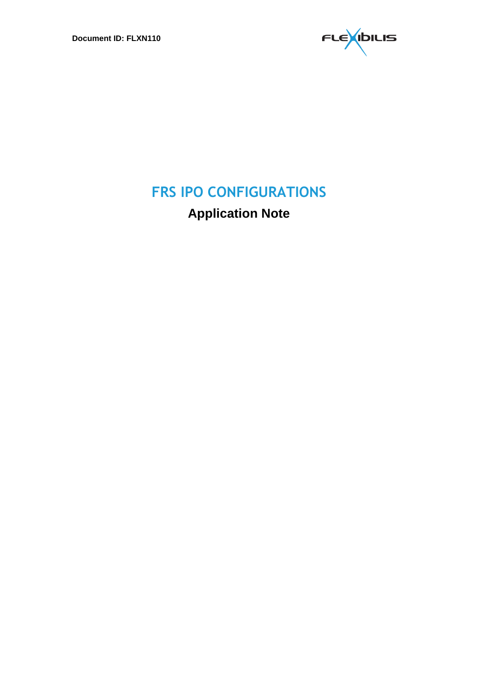

# **FRS IPO CONFIGURATIONS**

**Application Note**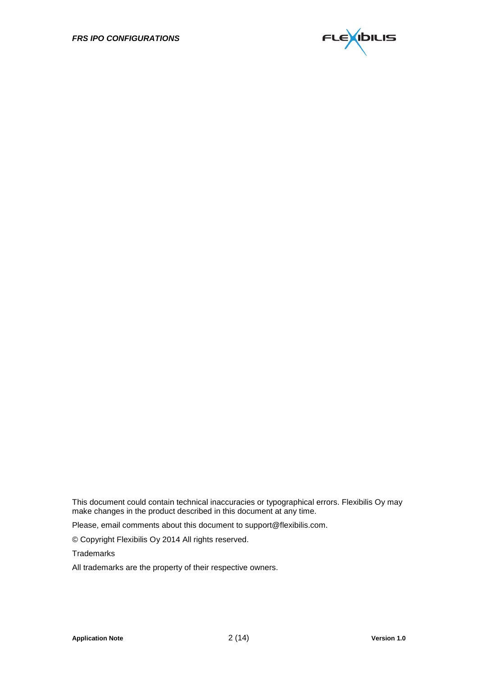

This document could contain technical inaccuracies or typographical errors. Flexibilis Oy may make changes in the product described in this document at any time.

Please, email comments about this document to support@flexibilis.com.

© Copyright Flexibilis Oy 2014 All rights reserved.

**Trademarks** 

All trademarks are the property of their respective owners.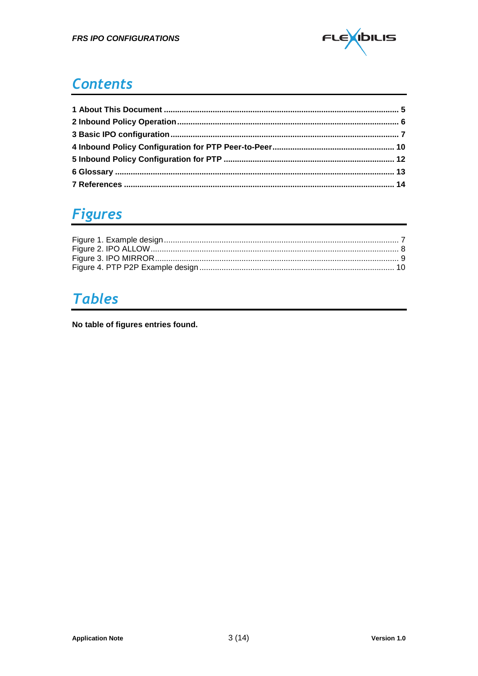

#### **Contents**

### **Figures**

## **Tables**

No table of figures entries found.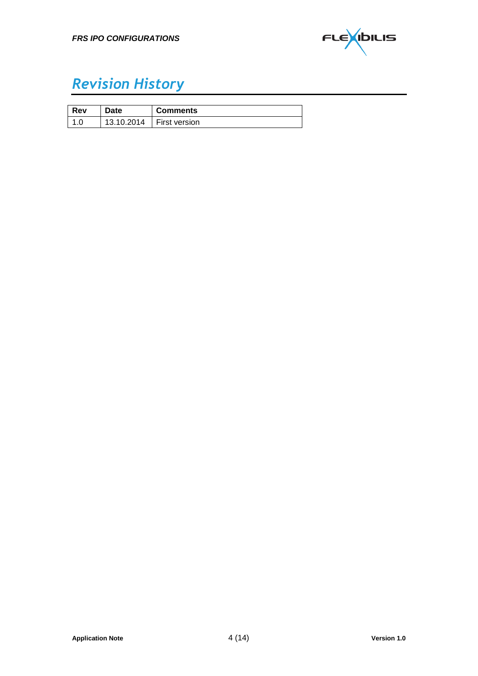

## *Revision History*

| Rev | <b>Date</b> | <b>Comments</b> |
|-----|-------------|-----------------|
|     | 13.10.2014  | First version   |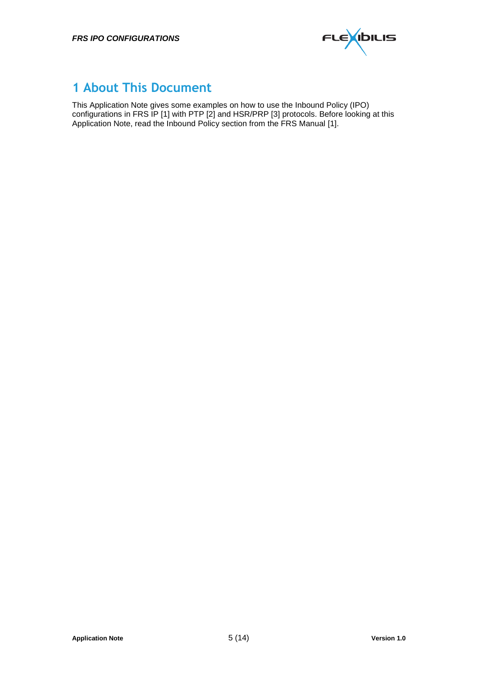

#### **1 About This Document**

This Application Note gives some examples on how to use the Inbound Policy (IPO) configurations in FRS IP [\[1\]](#page-13-0) with PTP [\[2\]](#page-13-1) and HSR/PRP [\[3\]](#page-13-2) protocols. Before looking at this Application Note, read the Inbound Policy section from the FRS Manual [\[1\].](#page-13-0)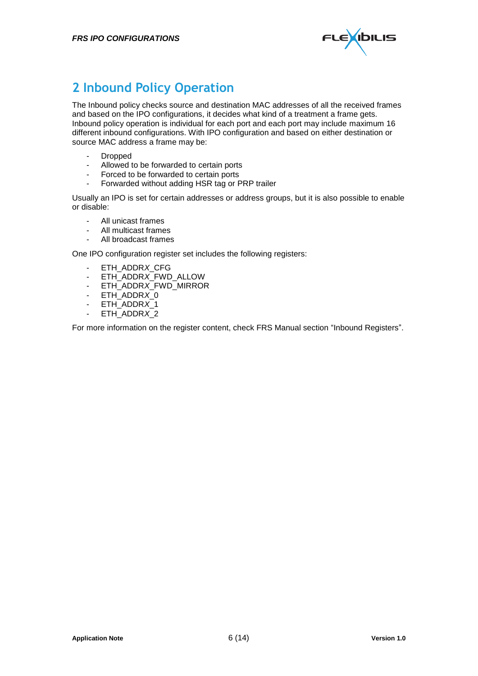

#### **2 Inbound Policy Operation**

The Inbound policy checks source and destination MAC addresses of all the received frames and based on the IPO configurations, it decides what kind of a treatment a frame gets. Inbound policy operation is individual for each port and each port may include maximum 16 different inbound configurations. With IPO configuration and based on either destination or source MAC address a frame may be:

- Dropped<br>- Allowed
- Allowed to be forwarded to certain ports
- Forced to be forwarded to certain ports
- Forwarded without adding HSR tag or PRP trailer

Usually an IPO is set for certain addresses or address groups, but it is also possible to enable or disable:

- All unicast frames
- All multicast frames
- All broadcast frames

One IPO configuration register set includes the following registers:

- ETH\_ADDR*X*\_CFG
- ETH\_ADDR*X*\_FWD\_ALLOW
- ETH\_ADDR*X*\_FWD\_MIRROR
- ETH\_ADDR*X*\_0
- ETH\_ADDR*X*\_1
- ETH\_ADDR*X*\_2

For more information on the register content, check FRS Manual section "Inbound Registers".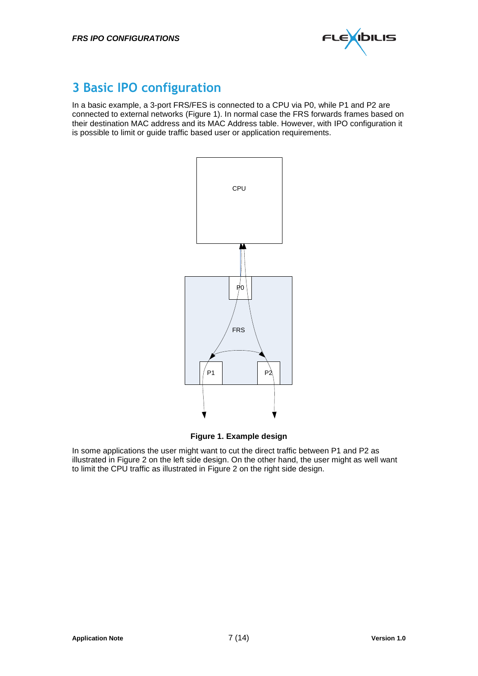

#### **3 Basic IPO configuration**

In a basic example, a 3-port FRS/FES is connected to a CPU via P0, while P1 and P2 are connected to external networks [\(Figure 1\)](#page-6-0). In normal case the FRS forwards frames based on their destination MAC address and its MAC Address table. However, with IPO configuration it is possible to limit or guide traffic based user or application requirements.



**Figure 1. Example design**

<span id="page-6-0"></span>In some applications the user might want to cut the direct traffic between P1 and P2 as illustrated in [Figure 2](#page-7-0) on the left side design. On the other hand, the user might as well want to limit the CPU traffic as illustrated in [Figure 2](#page-7-0) on the right side design.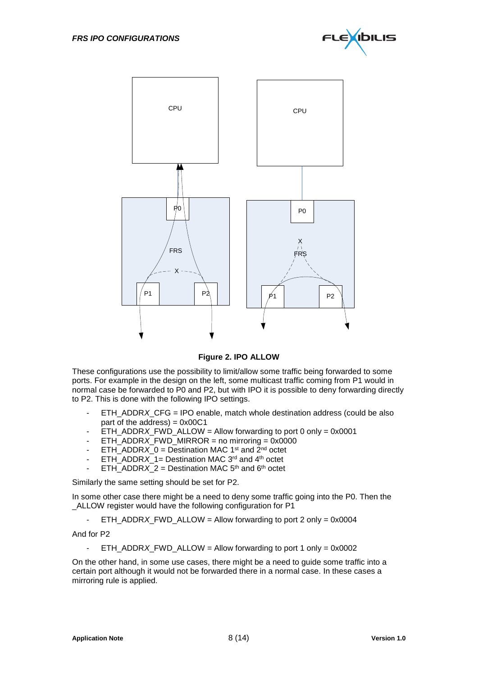



**Figure 2. IPO ALLOW**

<span id="page-7-0"></span>These configurations use the possibility to limit/allow some traffic being forwarded to some ports. For example in the design on the left, some multicast traffic coming from P1 would in normal case be forwarded to P0 and P2, but with IPO it is possible to deny forwarding directly to P2. This is done with the following IPO settings.

- ETH\_ADDR*X*\_CFG = IPO enable, match whole destination address (could be also part of the address) =  $0x00C1$
- ETH\_ADDR*X*\_FWD\_ALLOW = Allow forwarding to port 0 only =  $0x0001$
- $ETH$ \_ADDR*X*\_FWD\_MIRROR = no mirroring = 0x0000
- ETH\_ADDR $X_0$  = Destination MAC 1<sup>st</sup> and  $2^{nd}$  octet
- $ETH$  ADDR $\overline{X}$  1= Destination MAC 3<sup>rd</sup> and 4<sup>th</sup> octet
- ETH\_ADDR*X* 2 = Destination MAC 5<sup>th</sup> and 6<sup>th</sup> octet

Similarly the same setting should be set for P2.

In some other case there might be a need to deny some traffic going into the P0. Then the ALLOW register would have the following configuration for P1

- ETH\_ADDR*X*\_FWD\_ALLOW = Allow forwarding to port 2 only = 0x0004

And for P2

- ETH\_ADDR*X*\_FWD\_ALLOW = Allow forwarding to port 1 only = 0x0002

On the other hand, in some use cases, there might be a need to guide some traffic into a certain port although it would not be forwarded there in a normal case. In these cases a mirroring rule is applied.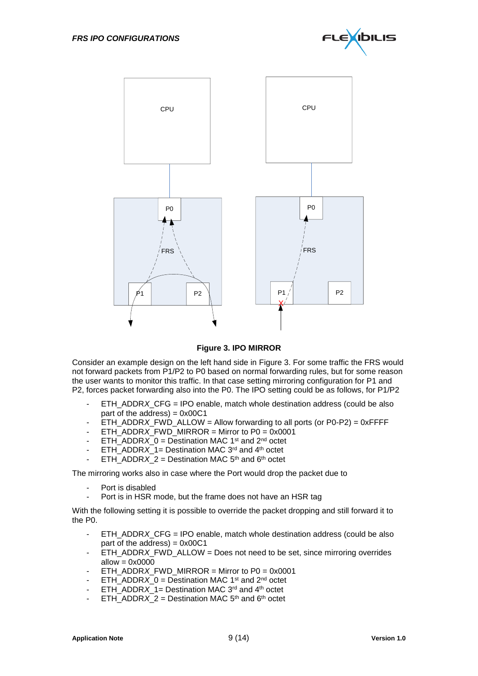



#### **Figure 3. IPO MIRROR**

<span id="page-8-0"></span>Consider an example design on the left hand side in [Figure 3.](#page-8-0) For some traffic the FRS would not forward packets from P1/P2 to P0 based on normal forwarding rules, but for some reason the user wants to monitor this traffic. In that case setting mirroring configuration for P1 and P2, forces packet forwarding also into the P0. The IPO setting could be as follows, for P1/P2

- ETH\_ADDR*X*\_CFG = IPO enable, match whole destination address (could be also part of the address) =  $0x00C1$
- ETH\_ADDR*X*\_FWD\_ALLOW = Allow forwarding to all ports (or P0-P2) = 0xFFFF
- ETH\_ADDR*X*\_FWD\_MIRROR = Mirror to P0 = 0x0001
- ETH\_ADDR $X$  0 = Destination MAC 1<sup>st</sup> and 2<sup>nd</sup> octet
- $ETH$  ADDR $\overline{X}$  1= Destination MAC 3<sup>rd</sup> and 4<sup>th</sup> octet
- ETH\_ADDR*X* 2 = Destination MAC  $5<sup>th</sup>$  and  $6<sup>th</sup>$  octet

The mirroring works also in case where the Port would drop the packet due to

- Port is disabled
- Port is in HSR mode, but the frame does not have an HSR tag

With the following setting it is possible to override the packet dropping and still forward it to the P0.

- ETH\_ADDR*X*\_CFG = IPO enable, match whole destination address (could be also part of the address) =  $0x00C1$
- ETH\_ADDR*X*\_FWD\_ALLOW = Does not need to be set, since mirroring overrides allow  $= 0x0000$
- ETH\_ADDR*X*\_FWD\_MIRROR = Mirror to P0 = 0x0001
- ETH\_ADDR*X*\_0 = Destination MAC 1<sup>st</sup> and 2<sup>nd</sup> octet
- ETH\_ADDR $X$  1= Destination MAC 3<sup>rd</sup> and 4<sup>th</sup> octet
- $ETH$  ADDR $X_2$  = Destination MAC 5<sup>th</sup> and 6<sup>th</sup> octet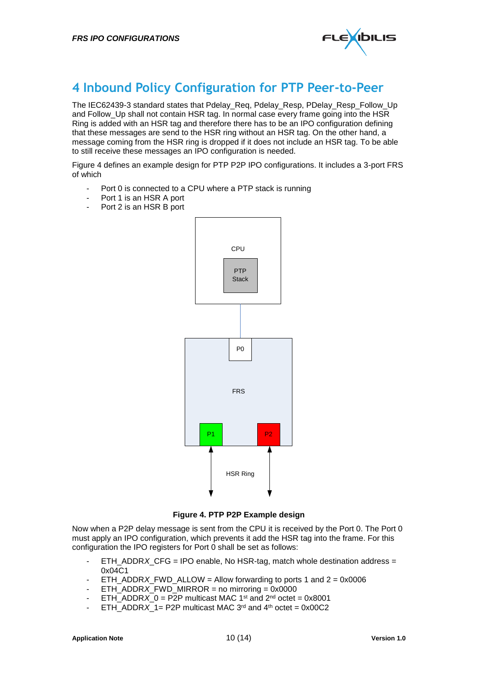

#### **4 Inbound Policy Configuration for PTP Peer-to-Peer**

The IEC62439-3 standard states that Pdelay\_Req, Pdelay\_Resp, PDelay\_Resp\_Follow\_Up and Follow\_Up shall not contain HSR tag. In normal case every frame going into the HSR Ring is added with an HSR tag and therefore there has to be an IPO configuration defining that these messages are send to the HSR ring without an HSR tag. On the other hand, a message coming from the HSR ring is dropped if it does not include an HSR tag. To be able to still receive these messages an IPO configuration is needed.

[Figure 4](#page-9-0) defines an example design for PTP P2P IPO configurations. It includes a 3-port FRS of which

- Port 0 is connected to a CPU where a PTP stack is running
- Port 1 is an HSR A port
- Port 2 is an HSR B port



#### **Figure 4. PTP P2P Example design**

<span id="page-9-0"></span>Now when a P2P delay message is sent from the CPU it is received by the Port 0. The Port 0 must apply an IPO configuration, which prevents it add the HSR tag into the frame. For this configuration the IPO registers for Port 0 shall be set as follows:

- ETH\_ADDR*X*\_CFG = IPO enable, No HSR-tag, match whole destination address = 0x04C1
- ETH\_ADDR*X*\_FWD\_ALLOW = Allow forwarding to ports 1 and 2 = 0x0006
- $ETH$ <sub>\_</sub>ADDR*X*\_FWD\_MIRROR = no mirroring = 0x0000
- ETH\_ADDR $X_0$  = P2P multicast MAC 1<sup>st</sup> and  $2^{nd}$  octet = 0x8001
- ETH\_ADDR $X_1$ = P2P multicast MAC 3<sup>rd</sup> and 4<sup>th</sup> octet = 0x00C2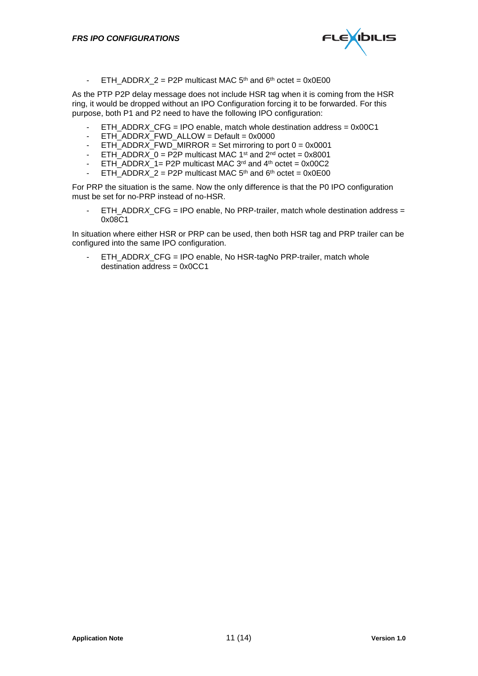

- ETH\_ADDR*X*  $2 = P2P$  multicast MAC  $5<sup>th</sup>$  and  $6<sup>th</sup>$  octet = 0x0E00

As the PTP P2P delay message does not include HSR tag when it is coming from the HSR ring, it would be dropped without an IPO Configuration forcing it to be forwarded. For this purpose, both P1 and P2 need to have the following IPO configuration:

- ETH\_ADDR*X*\_CFG = IPO enable, match whole destination address = 0x00C1
- ETH\_ADDR*X*\_FWD\_ALLOW = Default = 0x0000
- ETH\_ADDR*X*\_FWD\_MIRROR = Set mirroring to port 0 = 0x0001
- ETH\_ADDR $X_0$  = P2P multicast MAC 1<sup>st</sup> and  $2<sup>nd</sup>$  octet = 0x8001
- ETH\_ADDR $X$  1= P2P multicast MAC 3<sup>rd</sup> and 4<sup>th</sup> octet = 0x00C2
- $ETH$  $ADDRX$ <sup> $=$ </sup>  $P2P$  multicast MAC  $5<sup>th</sup>$  and  $6<sup>th</sup>$  octet = 0x0E00

For PRP the situation is the same. Now the only difference is that the P0 IPO configuration must be set for no-PRP instead of no-HSR.

ETH\_ADDR*X\_CFG* = IPO enable, No PRP-trailer, match whole destination address = 0x08C1

In situation where either HSR or PRP can be used, then both HSR tag and PRP trailer can be configured into the same IPO configuration.

- ETH\_ADDR*X*\_CFG = IPO enable, No HSR-tagNo PRP-trailer, match whole  $d$ estination address =  $0x0CC1$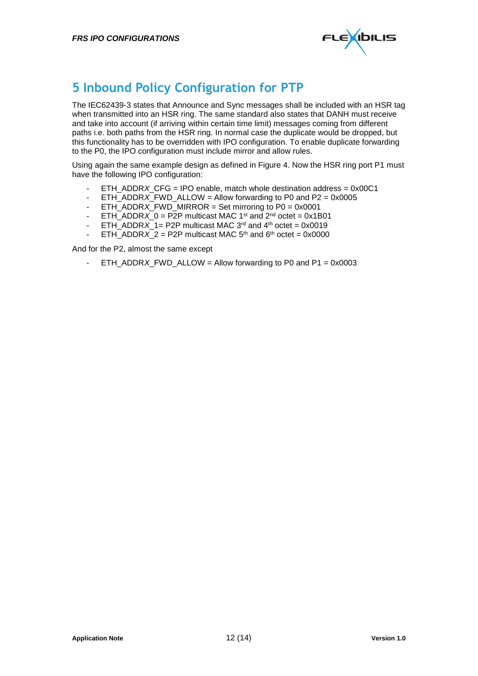

#### **5 Inbound Policy Configuration for PTP**

The IEC62439-3 states that Announce and Sync messages shall be included with an HSR tag when transmitted into an HSR ring. The same standard also states that DANH must receive and take into account (if arriving within certain time limit) messages coming from different paths i.e. both paths from the HSR ring. In normal case the duplicate would be dropped, but this functionality has to be overridden with IPO configuration. To enable duplicate forwarding to the P0, the IPO configuration must include mirror and allow rules.

Using again the same example design as defined in [Figure 4.](#page-9-0) Now the HSR ring port P1 must have the following IPO configuration:

- ETH\_ADDR*X\_CFG* = IPO enable, match whole destination address = 0x00C1
- ETH\_ADDR*X*\_FWD\_ALLOW = Allow forwarding to P0 and P2 = 0x0005
- ETH\_ADDR $\overline{X}$  FWD\_MIRROR = Set mirroring to P0 = 0x0001
- ETH\_ADDR*X*\_0 = P2P multicast MAC 1<sup>st</sup> and  $2^{nd}$  octet = 0x1B01
- ETH\_ADDR*X* 1= P2P multicast MAC 3<sup>rd</sup> and 4<sup>th</sup> octet = 0x0019
- $ETH$  ADDR*X* 2 = P2P multicast MAC 5<sup>th</sup> and 6<sup>th</sup> octet = 0x0000

And for the P2, almost the same except

- ETH\_ADDR*X*\_FWD\_ALLOW = Allow forwarding to P0 and P1 = 0x0003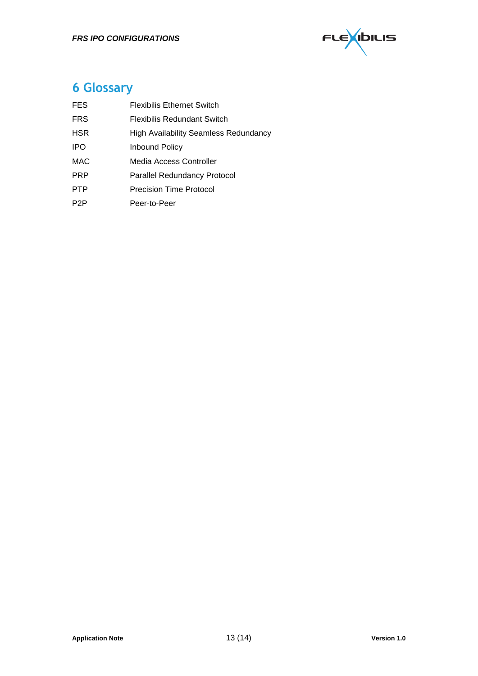

### **6 Glossary**

| <b>FES</b>       | <b>Flexibilis Ethernet Switch</b>     |
|------------------|---------------------------------------|
| <b>FRS</b>       | Flexibilis Redundant Switch           |
| <b>HSR</b>       | High Availability Seamless Redundancy |
| <b>IPO</b>       | <b>Inbound Policy</b>                 |
| MAC              | Media Access Controller               |
| <b>PRP</b>       | Parallel Redundancy Protocol          |
| <b>PTP</b>       | <b>Precision Time Protocol</b>        |
| P <sub>2</sub> P | Peer-to-Peer                          |